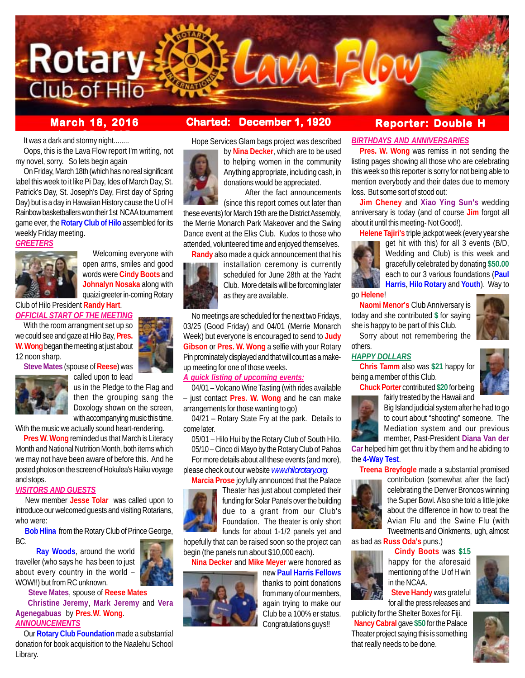

# It was a dark and stormy night........

Oops, this is the Lava Flow report I'm writing, not my novel, sorry. So lets begin again

On Friday, March 18th (which has no real significant label this week to it like Pi Day, Ides of March Day, St. Patrick's Day, St. Joseph's Day, First day of Spring Day) but is a day in Hawaiian History cause the U of H Rainbow basketballers won their 1st NCAA tournament game ever, the **Rotary Club of Hilo** assembled for its weekly Friday meeting.

#### *GREETERS*



 Welcoming everyone with open arms, smiles and good words were **Cindy Boots** and **Johnalyn Nosaka** along with quaizi greeter in-coming Rotary

Club of Hilo President **Randy Hart**. *OFFICIAL START OF THE MEETING*

With the room arrangment set up so we could see and gaze at Hilo Bay, **Pres. W. Wong** began the meeting at just about 12 noon sharp.

**Steve Mates** (spouse of **Reese**) was



called upon to lead us in the Pledge to the Flag and then the grouping sang the Doxology shown on the screen, with accompanying music this time.

With the music we actually sound heart-rendering.

**Pres W. Wong** reminded us that March is Literacy Month and National Nutrition Month, both items which we may not have been aware of before this. And he posted photos on the screen of Hokulea's Haiku voyage and stops.

#### *VISITORS AND GUESTS*

 New member **Jesse Tolar** was called upon to introduce our welcomed guests and visiting Rotarians, who were:

 **Bob Hlina** from the Rotary Club of Prince George, BC.

 **Ray Woods**, around the world traveller (who says he has been to just about every country in the world – WOW!!) but from RC unknown.

 **Steve Mates**, spouse of **Reese Mates Christine Jeremy**, **Mark Jeremy** and **Vera Agenegabuas** by **Pres.W. Wong**. *ANNOUNCEMENTS*

Our **Rotary Club Foundation** made a substantial donation for book acquisition to the Naalehu School Library.

# **March 18, 2016 Charted: December 1, 1920**

Hope Services Glam bags project was described by **Nina Decker**, which are to be used



to helping women in the community Anything appropriate, including cash, in donations would be appreciated. After the fact announcements

(since this report comes out later than these events) for March 19th are the District Assembly, the Merrie Monarch Park Makeover and the Swing Dance event at the Elks Club. Kudos to those who attended, volunteered time and enjoyed themselves.

**Randy** also made a quick announcement that his installation ceremony is currently scheduled for June 28th at the Yacht Club. More details will be forcoming later as they are available.

No meetings are scheduled for the next two Fridays, 03/25 (Good Friday) and 04/01 (Merrie Monarch Week) but everyone is encouraged to send to **Judy Gibson** or **Pres. W. Wong** a selfie with your Rotary Pin prominately displayed and that will count as a makeup meeting for one of those weeks.

### *A quick listing of upcoming events:*

04/01 – Volcano Wine Tasting (with rides available – just contact **Pres. W. Wong** and he can make arrangements for those wanting to go)

04/21 – Rotary State Fry at the park. Details to come later.

05/01 – Hilo Hui by the Rotary Club of South Hilo.

For more details about all these events (and more),



Theater has just about completed their funding for Solar Panels over the building due to a grant from our Club's Foundation. The theater is only short funds for about 1-1/2 panels yet and

hopefully that can be raised soon so the project can begin (the panels run about \$10,000 each).

# **Nina Decker** and **Mike Meyer** were honored as



# **Reporter: Double H**

### *BIRTHDAYS AND ANNIVERSARIES*

**Pres. W. Wong** was remiss in not sending the listing pages showing all those who are celebrating this week so this reporter is sorry for not being able to mention everybody and their dates due to memory loss. But some sort of stood out:

**Jim Cheney** and **Xiao Ying Sun's** wedding anniversary is today (and of course **Jim** forgot all about it until this meeting- Not Good!).

**Helene Tajiri's** triple jackpot week (every year she



get hit with this) for all 3 events (B/D, Wedding and Club) is this week and gracefully celebrated by donating **\$50.00** each to our 3 various foundations (**Paul Harris**, **Hilo Rotary** and **Youth**). Way to

go **Helene**!

**Naomi Menor's** Club Anniversary is today and she contributed **\$** for saying she is happy to be part of this Club.



#### others. *HAPPY DOLLARS*

**Chris Tamm** also was **\$21** happy for being a member of this Club.

**Chuck Porter** contributed **\$20** for being fairly treated by the Hawaii and



Big Island judicial system after he had to go to court about "shooting" someone. The Mediation system and our previous member, Past-President **Diana Van der**

**Car** helped him get thru it by them and he abiding to the **4-Way Test**.



as bad as **Russ Oda's** puns.)



happy for the aforesaid mentioning of the U of H win in the NCAA.

 **Steve Handy** was grateful for all the press releases and

publicity for the Shelter Boxes for Fiji. **Nancy Cabral** gave **\$50** for the Palace Theater project saying this is something that really needs to be done.







05/10 – Cinco di Mayo by the Rotary Club of Pahoa

please check out our website *www.hilorotary.org*.

**Marcia Prose** joyfully announced that the Palace